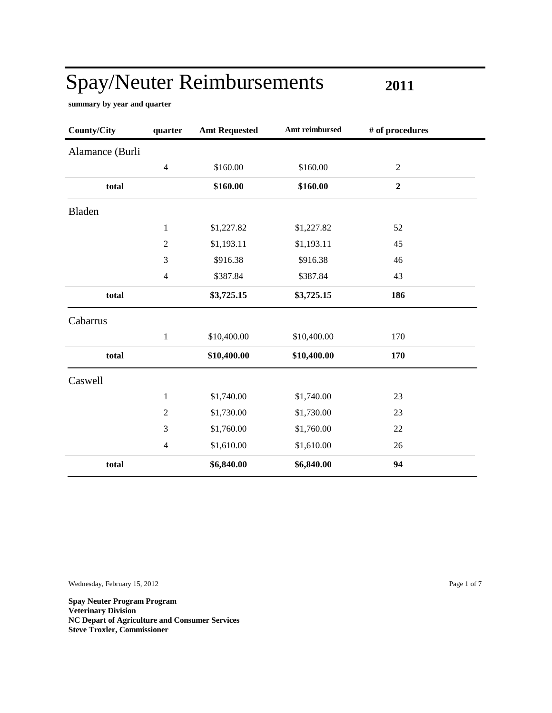**2011**

**summary by year and quarter**

| <b>County/City</b> | quarter        | <b>Amt Requested</b> | Amt reimbursed | # of procedures  |
|--------------------|----------------|----------------------|----------------|------------------|
| Alamance (Burli    |                |                      |                |                  |
|                    | $\overline{4}$ | \$160.00             | \$160.00       | $\boldsymbol{2}$ |
| total              |                | \$160.00             | \$160.00       | $\boldsymbol{2}$ |
| <b>Bladen</b>      |                |                      |                |                  |
|                    | $\mathbf{1}$   | \$1,227.82           | \$1,227.82     | 52               |
|                    | $\sqrt{2}$     | \$1,193.11           | \$1,193.11     | 45               |
|                    | 3              | \$916.38             | \$916.38       | 46               |
|                    | $\overline{4}$ | \$387.84             | \$387.84       | 43               |
| total              |                | \$3,725.15           | \$3,725.15     | 186              |
| Cabarrus           |                |                      |                |                  |
|                    | $\mathbf{1}$   | \$10,400.00          | \$10,400.00    | 170              |
| total              |                | \$10,400.00          | \$10,400.00    | 170              |
| Caswell            |                |                      |                |                  |
|                    | $\mathbf{1}$   | \$1,740.00           | \$1,740.00     | 23               |
|                    | $\overline{2}$ | \$1,730.00           | \$1,730.00     | 23               |
|                    | 3              | \$1,760.00           | \$1,760.00     | 22               |
|                    | $\overline{4}$ | \$1,610.00           | \$1,610.00     | 26               |
| total              |                | \$6,840.00           | \$6,840.00     | 94               |

Wednesday, February 15, 2012 Page 1 of 7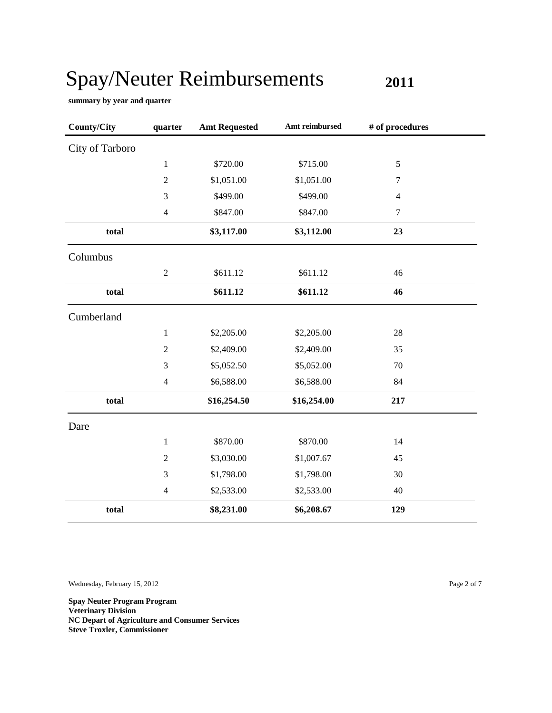**2011**

**summary by year and quarter**

| <b>County/City</b> | quarter        | <b>Amt Requested</b> | Amt reimbursed | # of procedures |  |
|--------------------|----------------|----------------------|----------------|-----------------|--|
| City of Tarboro    |                |                      |                |                 |  |
|                    | $\mathbf{1}$   | \$720.00             | \$715.00       | $\mathfrak s$   |  |
|                    | $\sqrt{2}$     | \$1,051.00           | \$1,051.00     | $\tau$          |  |
|                    | $\mathfrak{Z}$ | \$499.00             | \$499.00       | 4               |  |
|                    | $\overline{4}$ | \$847.00             | \$847.00       | $\tau$          |  |
| total              |                | \$3,117.00           | \$3,112.00     | 23              |  |
| Columbus           |                |                      |                |                 |  |
|                    | $\mathbf{2}$   | \$611.12             | \$611.12       | 46              |  |
| total              |                | \$611.12             | \$611.12       | 46              |  |
| Cumberland         |                |                      |                |                 |  |
|                    | $\mathbf{1}$   | \$2,205.00           | \$2,205.00     | 28              |  |
|                    | $\overline{2}$ | \$2,409.00           | \$2,409.00     | 35              |  |
|                    | 3              | \$5,052.50           | \$5,052.00     | 70              |  |
|                    | $\overline{4}$ | \$6,588.00           | \$6,588.00     | 84              |  |
| total              |                | \$16,254.50          | \$16,254.00    | 217             |  |
| Dare               |                |                      |                |                 |  |
|                    | $\mathbf{1}$   | \$870.00             | \$870.00       | 14              |  |
|                    | $\overline{2}$ | \$3,030.00           | \$1,007.67     | 45              |  |
|                    | 3              | \$1,798.00           | \$1,798.00     | 30              |  |
|                    | $\overline{4}$ | \$2,533.00           | \$2,533.00     | 40              |  |
| total              |                | \$8,231.00           | \$6,208.67     | 129             |  |

Wednesday, February 15, 2012 Page 2 of 7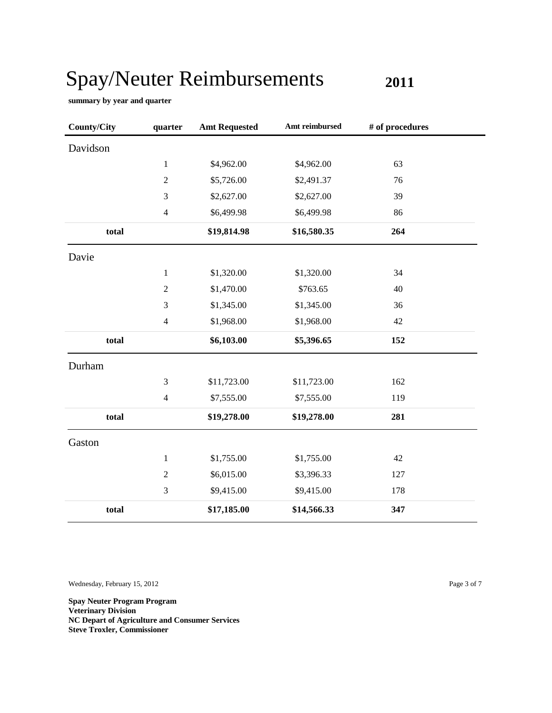**2011**

**summary by year and quarter**

| <b>County/City</b> | quarter        | <b>Amt Requested</b> | Amt reimbursed | # of procedures |
|--------------------|----------------|----------------------|----------------|-----------------|
| Davidson           |                |                      |                |                 |
|                    | $\mathbf{1}$   | \$4,962.00           | \$4,962.00     | 63              |
|                    | $\sqrt{2}$     | \$5,726.00           | \$2,491.37     | 76              |
|                    | 3              | \$2,627.00           | \$2,627.00     | 39              |
|                    | $\overline{4}$ | \$6,499.98           | \$6,499.98     | 86              |
| total              |                | \$19,814.98          | \$16,580.35    | 264             |
| Davie              |                |                      |                |                 |
|                    | $\mathbf{1}$   | \$1,320.00           | \$1,320.00     | 34              |
|                    | $\sqrt{2}$     | \$1,470.00           | \$763.65       | 40              |
|                    | $\mathfrak{Z}$ | \$1,345.00           | \$1,345.00     | 36              |
|                    | $\overline{4}$ | \$1,968.00           | \$1,968.00     | 42              |
| total              |                | \$6,103.00           | \$5,396.65     | 152             |
| Durham             |                |                      |                |                 |
|                    | $\mathfrak{Z}$ | \$11,723.00          | \$11,723.00    | 162             |
|                    | $\overline{4}$ | \$7,555.00           | \$7,555.00     | 119             |
| total              |                | \$19,278.00          | \$19,278.00    | 281             |
| Gaston             |                |                      |                |                 |
|                    | $\mathbf{1}$   | \$1,755.00           | \$1,755.00     | 42              |
|                    | $\sqrt{2}$     | \$6,015.00           | \$3,396.33     | 127             |
|                    | $\mathfrak{Z}$ | \$9,415.00           | \$9,415.00     | 178             |
| total              |                | \$17,185.00          | \$14,566.33    | 347             |

Wednesday, February 15, 2012 Page 3 of 7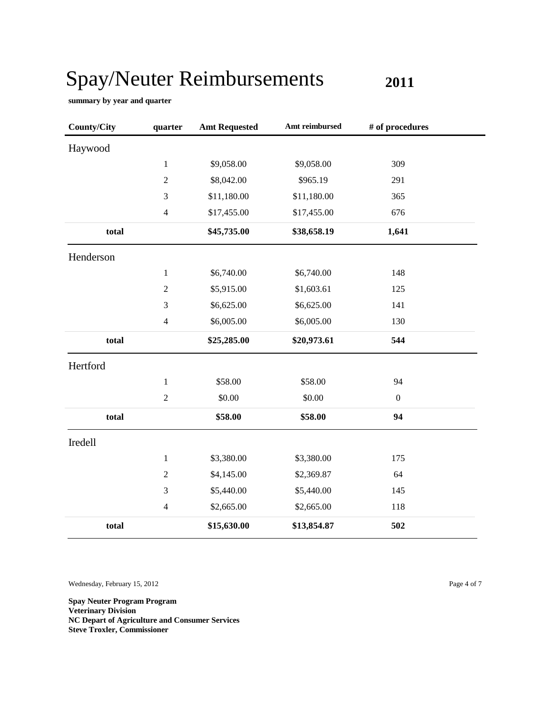**2011**

**summary by year and quarter**

| <b>County/City</b> | quarter                 | <b>Amt Requested</b> | Amt reimbursed | # of procedures  |
|--------------------|-------------------------|----------------------|----------------|------------------|
| Haywood            |                         |                      |                |                  |
|                    | $\mathbf{1}$            | \$9,058.00           | \$9,058.00     | 309              |
|                    | $\sqrt{2}$              | \$8,042.00           | \$965.19       | 291              |
|                    | $\mathfrak{Z}$          | \$11,180.00          | \$11,180.00    | 365              |
|                    | $\overline{4}$          | \$17,455.00          | \$17,455.00    | 676              |
| total              |                         | \$45,735.00          | \$38,658.19    | 1,641            |
| Henderson          |                         |                      |                |                  |
|                    | $\mathbf{1}$            | \$6,740.00           | \$6,740.00     | 148              |
|                    | $\boldsymbol{2}$        | \$5,915.00           | \$1,603.61     | 125              |
|                    | $\mathfrak{Z}$          | \$6,625.00           | \$6,625.00     | 141              |
|                    | $\overline{4}$          | \$6,005.00           | \$6,005.00     | 130              |
| total              |                         | \$25,285.00          | \$20,973.61    | 544              |
| Hertford           |                         |                      |                |                  |
|                    | $\mathbf{1}$            | \$58.00              | \$58.00        | 94               |
|                    | $\overline{2}$          | \$0.00               | \$0.00         | $\boldsymbol{0}$ |
| total              |                         | \$58.00              | \$58.00        | 94               |
| Iredell            |                         |                      |                |                  |
|                    | $\mathbf{1}$            | \$3,380.00           | \$3,380.00     | 175              |
|                    | $\boldsymbol{2}$        | \$4,145.00           | \$2,369.87     | 64               |
|                    | $\mathfrak{Z}$          | \$5,440.00           | \$5,440.00     | 145              |
|                    | $\overline{\mathbf{4}}$ | \$2,665.00           | \$2,665.00     | 118              |
| total              |                         | \$15,630.00          | \$13,854.87    | 502              |

Wednesday, February 15, 2012 Page 4 of 7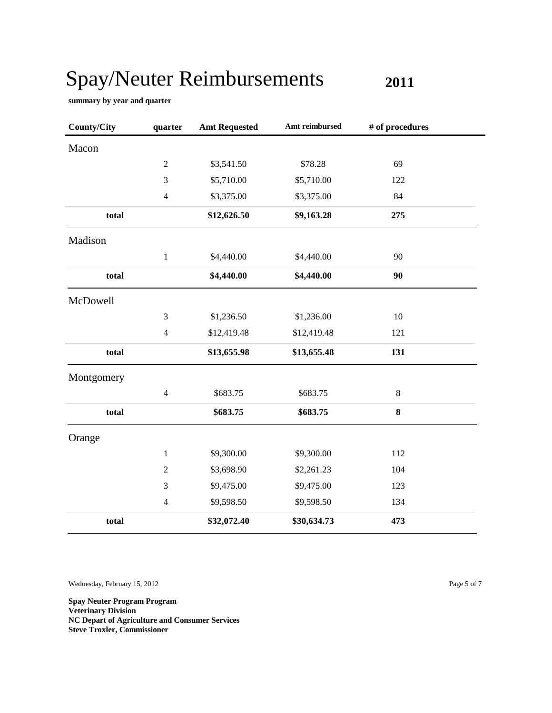**2011**

**summary by year and quarter**

| <b>County/City</b> | quarter        | <b>Amt Requested</b> | Amt reimbursed | # of procedures |  |
|--------------------|----------------|----------------------|----------------|-----------------|--|
| Macon              |                |                      |                |                 |  |
|                    | $\sqrt{2}$     | \$3,541.50           | \$78.28        | 69              |  |
|                    | 3              | \$5,710.00           | \$5,710.00     | 122             |  |
|                    | $\overline{4}$ | \$3,375.00           | \$3,375.00     | 84              |  |
| total              |                | \$12,626.50          | \$9,163.28     | 275             |  |
| Madison            |                |                      |                |                 |  |
|                    | $\mathbf{1}$   | \$4,440.00           | \$4,440.00     | 90              |  |
| total              |                | \$4,440.00           | \$4,440.00     | 90              |  |
| McDowell           |                |                      |                |                 |  |
|                    | 3              | \$1,236.50           | \$1,236.00     | 10              |  |
|                    | $\overline{4}$ | \$12,419.48          | \$12,419.48    | 121             |  |
| total              |                | \$13,655.98          | \$13,655.48    | 131             |  |
| Montgomery         |                |                      |                |                 |  |
|                    | $\overline{4}$ | \$683.75             | \$683.75       | $\,8\,$         |  |
| total              |                | \$683.75             | \$683.75       | 8               |  |
| Orange             |                |                      |                |                 |  |
|                    | $\mathbf{1}$   | \$9,300.00           | \$9,300.00     | 112             |  |
|                    | $\mathfrak{2}$ | \$3,698.90           | \$2,261.23     | 104             |  |
|                    | 3              | \$9,475.00           | \$9,475.00     | 123             |  |
|                    | $\overline{4}$ | \$9,598.50           | \$9,598.50     | 134             |  |
| total              |                | \$32,072.40          | \$30,634.73    | 473             |  |

Wednesday, February 15, 2012 Page 5 of 7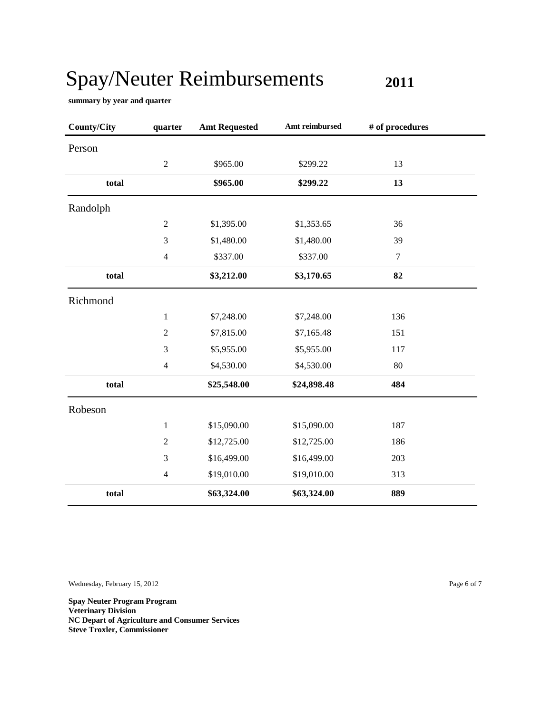**2011**

**summary by year and quarter**

| <b>County/City</b> | quarter        | <b>Amt Requested</b> | Amt reimbursed | # of procedures |
|--------------------|----------------|----------------------|----------------|-----------------|
| Person             |                |                      |                |                 |
|                    | $\sqrt{2}$     | \$965.00             | \$299.22       | 13              |
| total              |                | \$965.00             | \$299.22       | 13              |
| Randolph           |                |                      |                |                 |
|                    | $\overline{2}$ | \$1,395.00           | \$1,353.65     | 36              |
|                    | 3              | \$1,480.00           | \$1,480.00     | 39              |
|                    | $\overline{4}$ | \$337.00             | \$337.00       | $\tau$          |
| total              |                | \$3,212.00           | \$3,170.65     | 82              |
| Richmond           |                |                      |                |                 |
|                    | $\,1$          | \$7,248.00           | \$7,248.00     | 136             |
|                    | $\overline{2}$ | \$7,815.00           | \$7,165.48     | 151             |
|                    | 3              | \$5,955.00           | \$5,955.00     | 117             |
|                    | $\overline{4}$ | \$4,530.00           | \$4,530.00     | 80              |
| total              |                | \$25,548.00          | \$24,898.48    | 484             |
| Robeson            |                |                      |                |                 |
|                    | $\mathbf{1}$   | \$15,090.00          | \$15,090.00    | 187             |
|                    | $\sqrt{2}$     | \$12,725.00          | \$12,725.00    | 186             |
|                    | $\mathfrak{Z}$ | \$16,499.00          | \$16,499.00    | 203             |
|                    | $\overline{4}$ | \$19,010.00          | \$19,010.00    | 313             |
| total              |                | \$63,324.00          | \$63,324.00    | 889             |

Wednesday, February 15, 2012 Page 6 of 7